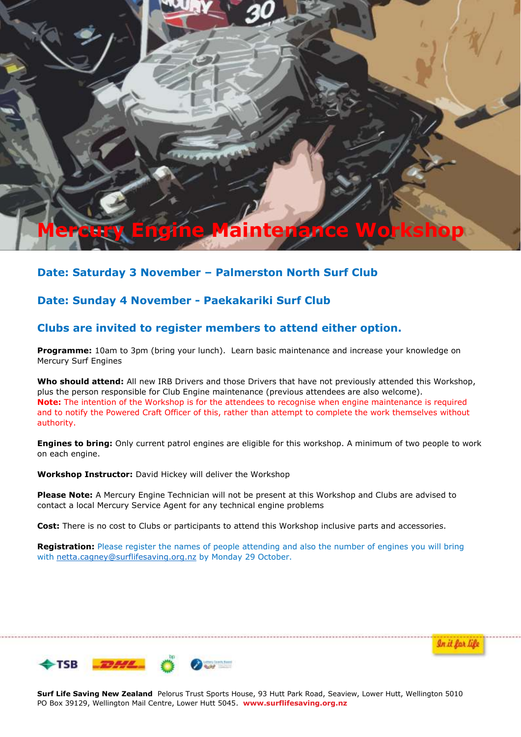# **Mercury Engine Maintenance Workshop**

## **Date: Saturday 3 November – Palmerston North Surf Club**

## **Date: Sunday 4 November - Paekakariki Surf Club**

### **Clubs are invited to register members to attend either option.**

**Programme:** 10am to 3pm (bring your lunch). Learn basic maintenance and increase your knowledge on Mercury Surf Engines

**Who should attend:** All new IRB Drivers and those Drivers that have not previously attended this Workshop, plus the person responsible for Club Engine maintenance (previous attendees are also welcome). **Note:** The intention of the Workshop is for the attendees to recognise when engine maintenance is required and to notify the Powered Craft Officer of this, rather than attempt to complete the work themselves without authority.

**Engines to bring:** Only current patrol engines are eligible for this workshop. A minimum of two people to work on each engine.

**Workshop Instructor:** David Hickey will deliver the Workshop

**Please Note:** A Mercury Engine Technician will not be present at this Workshop and Clubs are advised to contact a local Mercury Service Agent for any technical engine problems

**Cost:** There is no cost to Clubs or participants to attend this Workshop inclusive parts and accessories.

**Registration:** Please register the names of people attending and also the number of engines you will bring with netta.cagney@surflifesaving.org.nz by Monday 29 October.



**Surf Life Saving New Zealand** Pelorus Trust Sports House, 93 Hutt Park Road, Seaview, Lower Hutt, Wellington 5010 PO Box 39129, Wellington Mail Centre, Lower Hutt 5045. **www.surflifesaving.org.nz**

In it for life